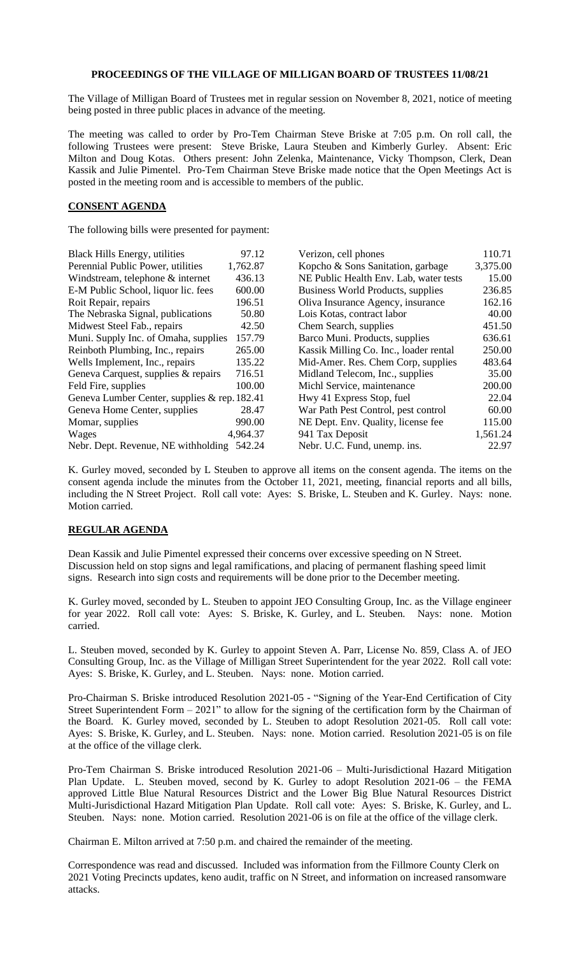## **PROCEEDINGS OF THE VILLAGE OF MILLIGAN BOARD OF TRUSTEES 11/08/21**

The Village of Milligan Board of Trustees met in regular session on November 8, 2021, notice of meeting being posted in three public places in advance of the meeting.

The meeting was called to order by Pro-Tem Chairman Steve Briske at 7:05 p.m. On roll call, the following Trustees were present: Steve Briske, Laura Steuben and Kimberly Gurley. Absent: Eric Milton and Doug Kotas. Others present: John Zelenka, Maintenance, Vicky Thompson, Clerk, Dean Kassik and Julie Pimentel. Pro-Tem Chairman Steve Briske made notice that the Open Meetings Act is posted in the meeting room and is accessible to members of the public.

## **CONSENT AGENDA**

The following bills were presented for payment:

| <b>Black Hills Energy, utilities</b>         | 97.12    | Verizon, cell phones                   | 110.71   |
|----------------------------------------------|----------|----------------------------------------|----------|
| Perennial Public Power, utilities            | 1,762.87 | Kopcho & Sons Sanitation, garbage      | 3,375.00 |
| Windstream, telephone & internet             | 436.13   | NE Public Health Env. Lab, water tests | 15.00    |
| E-M Public School, liquor lic. fees          | 600.00   | Business World Products, supplies      | 236.85   |
| Roit Repair, repairs                         | 196.51   | Oliva Insurance Agency, insurance      | 162.16   |
| The Nebraska Signal, publications            | 50.80    | Lois Kotas, contract labor             | 40.00    |
| Midwest Steel Fab., repairs                  | 42.50    | Chem Search, supplies                  | 451.50   |
| Muni. Supply Inc. of Omaha, supplies         | 157.79   | Barco Muni. Products, supplies         | 636.61   |
| Reinboth Plumbing, Inc., repairs             | 265.00   | Kassik Milling Co. Inc., loader rental | 250.00   |
| Wells Implement, Inc., repairs               | 135.22   | Mid-Amer. Res. Chem Corp, supplies     | 483.64   |
| Geneva Carquest, supplies & repairs          | 716.51   | Midland Telecom, Inc., supplies        | 35.00    |
| Feld Fire, supplies                          | 100.00   | Michl Service, maintenance             | 200.00   |
| Geneva Lumber Center, supplies & rep. 182.41 |          | Hwy 41 Express Stop, fuel              | 22.04    |
| Geneva Home Center, supplies                 | 28.47    | War Path Pest Control, pest control    | 60.00    |
| Momar, supplies                              | 990.00   | NE Dept. Env. Quality, license fee     | 115.00   |
| Wages                                        | 4,964.37 | 941 Tax Deposit                        | 1,561.24 |
| Nebr. Dept. Revenue, NE withholding 542.24   |          | Nebr. U.C. Fund, unemp. ins.           | 22.97    |

K. Gurley moved, seconded by L Steuben to approve all items on the consent agenda. The items on the consent agenda include the minutes from the October 11, 2021, meeting, financial reports and all bills, including the N Street Project. Roll call vote: Ayes: S. Briske, L. Steuben and K. Gurley. Nays: none. Motion carried.

## **REGULAR AGENDA**

Dean Kassik and Julie Pimentel expressed their concerns over excessive speeding on N Street. Discussion held on stop signs and legal ramifications, and placing of permanent flashing speed limit signs. Research into sign costs and requirements will be done prior to the December meeting.

K. Gurley moved, seconded by L. Steuben to appoint JEO Consulting Group, Inc. as the Village engineer for year 2022. Roll call vote: Ayes: S. Briske, K. Gurley, and L. Steuben. Nays: none. Motion carried.

L. Steuben moved, seconded by K. Gurley to appoint Steven A. Parr, License No. 859, Class A. of JEO Consulting Group, Inc. as the Village of Milligan Street Superintendent for the year 2022. Roll call vote: Ayes: S. Briske, K. Gurley, and L. Steuben. Nays: none. Motion carried.

Pro-Chairman S. Briske introduced Resolution 2021-05 - "Signing of the Year-End Certification of City Street Superintendent Form  $-2021$ " to allow for the signing of the certification form by the Chairman of the Board. K. Gurley moved, seconded by L. Steuben to adopt Resolution 2021-05. Roll call vote: Ayes: S. Briske, K. Gurley, and L. Steuben. Nays: none. Motion carried. Resolution 2021-05 is on file at the office of the village clerk.

Pro-Tem Chairman S. Briske introduced Resolution 2021-06 – Multi-Jurisdictional Hazard Mitigation Plan Update. L. Steuben moved, second by K. Gurley to adopt Resolution 2021-06 – the FEMA approved Little Blue Natural Resources District and the Lower Big Blue Natural Resources District Multi-Jurisdictional Hazard Mitigation Plan Update. Roll call vote: Ayes: S. Briske, K. Gurley, and L. Steuben. Nays: none. Motion carried. Resolution 2021-06 is on file at the office of the village clerk.

Chairman E. Milton arrived at 7:50 p.m. and chaired the remainder of the meeting.

Correspondence was read and discussed. Included was information from the Fillmore County Clerk on 2021 Voting Precincts updates, keno audit, traffic on N Street, and information on increased ransomware attacks.